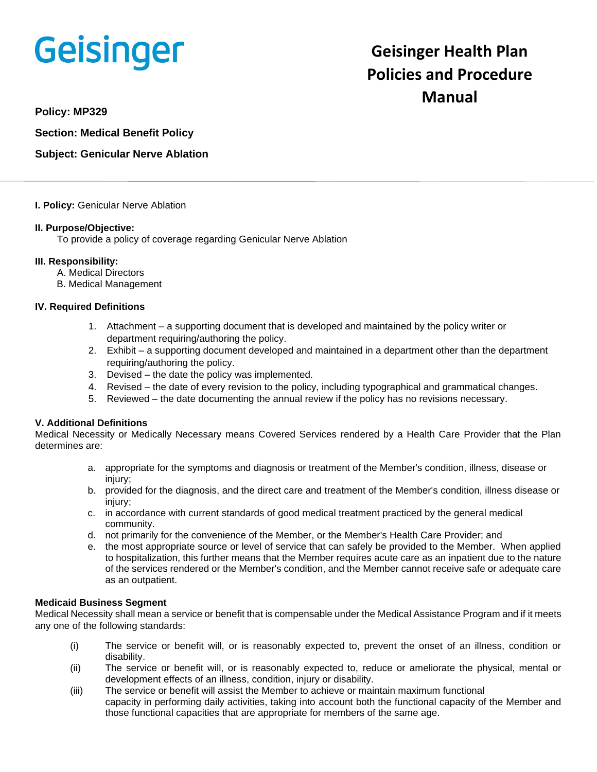# **Geisinger**

# **Geisinger Health Plan Policies and Procedure Manual**

**Policy: MP329**

**Section: Medical Benefit Policy**

# **Subject: Genicular Nerve Ablation**

#### **I. Policy:** Genicular Nerve Ablation

## **II. Purpose/Objective:**

To provide a policy of coverage regarding Genicular Nerve Ablation

#### **III. Responsibility:**

- A. Medical Directors
- B. Medical Management

#### **IV. Required Definitions**

- 1. Attachment a supporting document that is developed and maintained by the policy writer or department requiring/authoring the policy.
- 2. Exhibit a supporting document developed and maintained in a department other than the department requiring/authoring the policy.
- 3. Devised the date the policy was implemented.
- 4. Revised the date of every revision to the policy, including typographical and grammatical changes.
- 5. Reviewed the date documenting the annual review if the policy has no revisions necessary.

# **V. Additional Definitions**

Medical Necessity or Medically Necessary means Covered Services rendered by a Health Care Provider that the Plan determines are:

- a. appropriate for the symptoms and diagnosis or treatment of the Member's condition, illness, disease or injury:
- b. provided for the diagnosis, and the direct care and treatment of the Member's condition, illness disease or injury:
- c. in accordance with current standards of good medical treatment practiced by the general medical community.
- d. not primarily for the convenience of the Member, or the Member's Health Care Provider; and
- e. the most appropriate source or level of service that can safely be provided to the Member. When applied to hospitalization, this further means that the Member requires acute care as an inpatient due to the nature of the services rendered or the Member's condition, and the Member cannot receive safe or adequate care as an outpatient.

#### **Medicaid Business Segment**

Medical Necessity shall mean a service or benefit that is compensable under the Medical Assistance Program and if it meets any one of the following standards:

- (i) The service or benefit will, or is reasonably expected to, prevent the onset of an illness, condition or disability.
- (ii) The service or benefit will, or is reasonably expected to, reduce or ameliorate the physical, mental or development effects of an illness, condition, injury or disability.
- (iii) The service or benefit will assist the Member to achieve or maintain maximum functional capacity in performing daily activities, taking into account both the functional capacity of the Member and those functional capacities that are appropriate for members of the same age.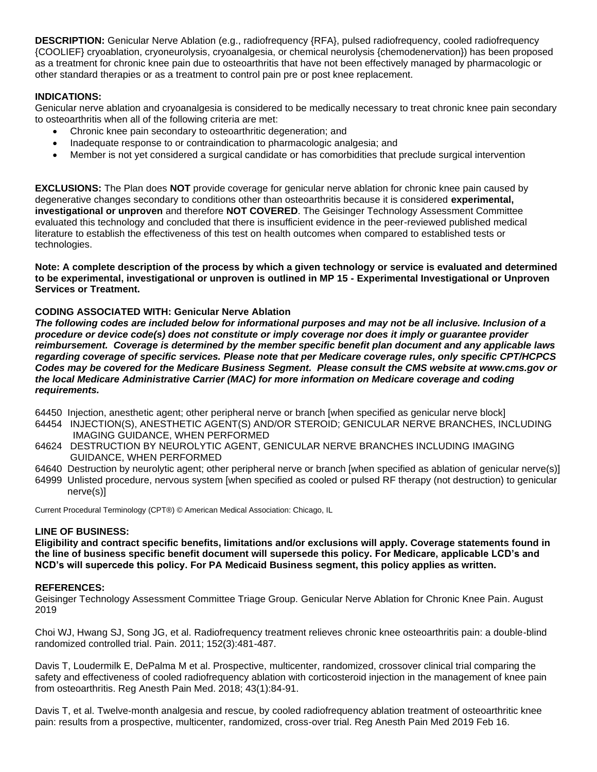**DESCRIPTION:** Genicular Nerve Ablation (e.g., radiofrequency {RFA}, pulsed radiofrequency, cooled radiofrequency {COOLIEF} cryoablation, cryoneurolysis, cryoanalgesia, or chemical neurolysis {chemodenervation}) has been proposed as a treatment for chronic knee pain due to osteoarthritis that have not been effectively managed by pharmacologic or other standard therapies or as a treatment to control pain pre or post knee replacement.

# **INDICATIONS:**

Genicular nerve ablation and cryoanalgesia is considered to be medically necessary to treat chronic knee pain secondary to osteoarthritis when all of the following criteria are met:

- Chronic knee pain secondary to osteoarthritic degeneration; and
- Inadequate response to or contraindication to pharmacologic analgesia; and
- Member is not yet considered a surgical candidate or has comorbidities that preclude surgical intervention

**EXCLUSIONS:** The Plan does **NOT** provide coverage for genicular nerve ablation for chronic knee pain caused by degenerative changes secondary to conditions other than osteoarthritis because it is considered **experimental, investigational or unproven** and therefore **NOT COVERED**. The Geisinger Technology Assessment Committee evaluated this technology and concluded that there is insufficient evidence in the peer-reviewed published medical literature to establish the effectiveness of this test on health outcomes when compared to established tests or technologies.

**Note: A complete description of the process by which a given technology or service is evaluated and determined to be experimental, investigational or unproven is outlined in MP 15 - Experimental Investigational or Unproven Services or Treatment.**

#### **CODING ASSOCIATED WITH: Genicular Nerve Ablation**

*The following codes are included below for informational purposes and may not be all inclusive. Inclusion of a procedure or device code(s) does not constitute or imply coverage nor does it imply or guarantee provider reimbursement. Coverage is determined by the member specific benefit plan document and any applicable laws regarding coverage of specific services. Please note that per Medicare coverage rules, only specific CPT/HCPCS Codes may be covered for the Medicare Business Segment. Please consult the CMS website at www.cms.gov or the local Medicare Administrative Carrier (MAC) for more information on Medicare coverage and coding requirements.*

- 64450 Injection, anesthetic agent; other peripheral nerve or branch [when specified as genicular nerve block]
- 64454 INJECTION(S), ANESTHETIC AGENT(S) AND/OR STEROID; GENICULAR NERVE BRANCHES, INCLUDING IMAGING GUIDANCE, WHEN PERFORMED
- 64624 DESTRUCTION BY NEUROLYTIC AGENT, GENICULAR NERVE BRANCHES INCLUDING IMAGING GUIDANCE, WHEN PERFORMED
- 64640 Destruction by neurolytic agent; other peripheral nerve or branch [when specified as ablation of genicular nerve(s)]
- 64999 Unlisted procedure, nervous system [when specified as cooled or pulsed RF therapy (not destruction) to genicular nerve(s)]

Current Procedural Terminology (CPT®) © American Medical Association: Chicago, IL

## **LINE OF BUSINESS:**

**Eligibility and contract specific benefits, limitations and/or exclusions will apply. Coverage statements found in the line of business specific benefit document will supersede this policy. For Medicare, applicable LCD's and NCD's will supercede this policy. For PA Medicaid Business segment, this policy applies as written.**

#### **REFERENCES:**

Geisinger Technology Assessment Committee Triage Group. Genicular Nerve Ablation for Chronic Knee Pain. August 2019

Choi WJ, Hwang SJ, Song JG, et al. Radiofrequency treatment relieves chronic knee osteoarthritis pain: a double-blind randomized controlled trial. Pain. 2011; 152(3):481-487.

Davis T, Loudermilk E, DePalma M et al. Prospective, multicenter, randomized, crossover clinical trial comparing the safety and effectiveness of cooled radiofrequency ablation with corticosteroid injection in the management of knee pain from osteoarthritis. Reg Anesth Pain Med. 2018; 43(1):84-91.

Davis T, et al. Twelve-month analgesia and rescue, by cooled radiofrequency ablation treatment of osteoarthritic knee pain: results from a prospective, multicenter, randomized, cross-over trial. Reg Anesth Pain Med 2019 Feb 16.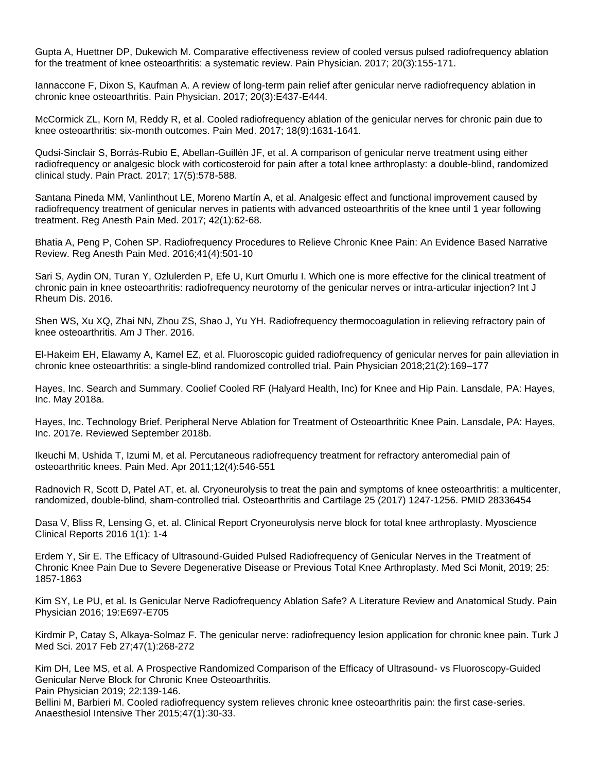Gupta A, Huettner DP, Dukewich M. Comparative effectiveness review of cooled versus pulsed radiofrequency ablation for the treatment of knee osteoarthritis: a systematic review. Pain Physician. 2017; 20(3):155-171.

Iannaccone F, Dixon S, Kaufman A. A review of long-term pain relief after genicular nerve radiofrequency ablation in chronic knee osteoarthritis. Pain Physician. 2017; 20(3):E437-E444.

McCormick ZL, Korn M, Reddy R, et al. Cooled radiofrequency ablation of the genicular nerves for chronic pain due to knee osteoarthritis: six-month outcomes. Pain Med. 2017; 18(9):1631-1641.

Qudsi-Sinclair S, Borrás-Rubio E, Abellan-Guillén JF, et al. A comparison of genicular nerve treatment using either radiofrequency or analgesic block with corticosteroid for pain after a total knee arthroplasty: a double-blind, randomized clinical study. Pain Pract. 2017; 17(5):578-588.

Santana Pineda MM, Vanlinthout LE, Moreno Martín A, et al. Analgesic effect and functional improvement caused by radiofrequency treatment of genicular nerves in patients with advanced osteoarthritis of the knee until 1 year following treatment. Reg Anesth Pain Med. 2017; 42(1):62-68.

Bhatia A, Peng P, Cohen SP. Radiofrequency Procedures to Relieve Chronic Knee Pain: An Evidence Based Narrative Review. Reg Anesth Pain Med. 2016;41(4):501-10

Sari S, Aydin ON, Turan Y, Ozlulerden P, Efe U, Kurt Omurlu I. Which one is more effective for the clinical treatment of chronic pain in knee osteoarthritis: radiofrequency neurotomy of the genicular nerves or intra-articular injection? Int J Rheum Dis. 2016.

Shen WS, Xu XQ, Zhai NN, Zhou ZS, Shao J, Yu YH. Radiofrequency thermocoagulation in relieving refractory pain of knee osteoarthritis. Am J Ther. 2016.

El-Hakeim EH, Elawamy A, Kamel EZ, et al. Fluoroscopic guided radiofrequency of genicular nerves for pain alleviation in chronic knee osteoarthritis: a single-blind randomized controlled trial. Pain Physician 2018;21(2):169–177

Hayes, Inc. Search and Summary. Coolief Cooled RF (Halyard Health, Inc) for Knee and Hip Pain. Lansdale, PA: Hayes, Inc. May 2018a.

Hayes, Inc. Technology Brief. Peripheral Nerve Ablation for Treatment of Osteoarthritic Knee Pain. Lansdale, PA: Hayes, Inc. 2017e. Reviewed September 2018b.

Ikeuchi M, Ushida T, Izumi M, et al. Percutaneous radiofrequency treatment for refractory anteromedial pain of osteoarthritic knees. Pain Med. Apr 2011;12(4):546-551

Radnovich R, Scott D, Patel AT, et. al. Cryoneurolysis to treat the pain and symptoms of knee osteoarthritis: a multicenter, randomized, double-blind, sham-controlled trial. Osteoarthritis and Cartilage 25 (2017) 1247-1256. PMID 28336454

Dasa V, Bliss R, Lensing G, et. al. Clinical Report Cryoneurolysis nerve block for total knee arthroplasty. Myoscience Clinical Reports 2016 1(1): 1-4

Erdem Y, Sir E. The Efficacy of Ultrasound-Guided Pulsed Radiofrequency of Genicular Nerves in the Treatment of Chronic Knee Pain Due to Severe Degenerative Disease or Previous Total Knee Arthroplasty. Med Sci Monit, 2019; 25: 1857-1863

Kim SY, Le PU, et al. Is Genicular Nerve Radiofrequency Ablation Safe? A Literature Review and Anatomical Study. Pain Physician 2016; 19:E697-E705

Kirdmir P, Catay S, Alkaya-Solmaz F. The genicular nerve: radiofrequency lesion application for chronic knee pain. Turk J Med Sci. 2017 Feb 27;47(1):268-272

Kim DH, Lee MS, et al. A Prospective Randomized Comparison of the Efficacy of Ultrasound- vs Fluoroscopy-Guided Genicular Nerve Block for Chronic Knee Osteoarthritis.

Pain Physician 2019; 22:139-146.

Bellini M, Barbieri M. Cooled radiofrequency system relieves chronic knee osteoarthritis pain: the first case-series. Anaesthesiol Intensive Ther 2015;47(1):30-33.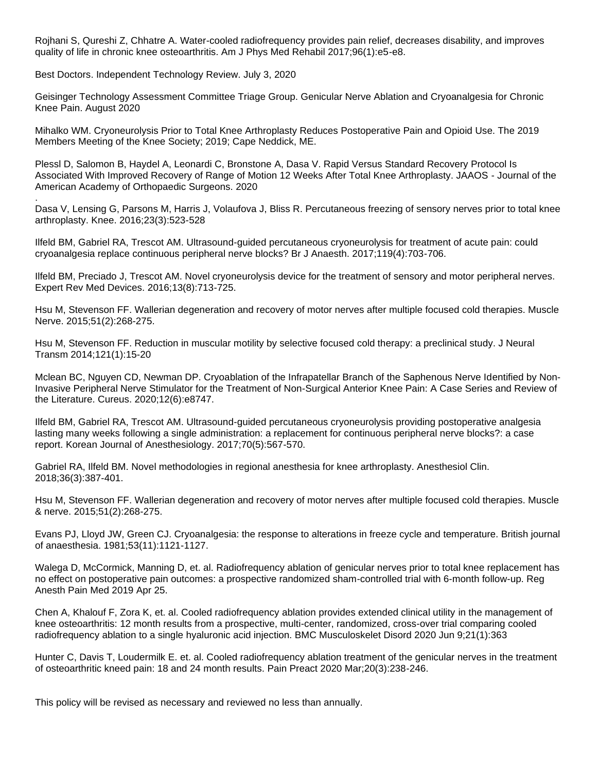Rojhani S, Qureshi Z, Chhatre A. Water-cooled radiofrequency provides pain relief, decreases disability, and improves quality of life in chronic knee osteoarthritis. Am J Phys Med Rehabil 2017;96(1):e5-e8.

Best Doctors. Independent Technology Review. July 3, 2020

Geisinger Technology Assessment Committee Triage Group. Genicular Nerve Ablation and Cryoanalgesia for Chronic Knee Pain. August 2020

Mihalko WM. Cryoneurolysis Prior to Total Knee Arthroplasty Reduces Postoperative Pain and Opioid Use. The 2019 Members Meeting of the Knee Society; 2019; Cape Neddick, ME.

Plessl D, Salomon B, Haydel A, Leonardi C, Bronstone A, Dasa V. Rapid Versus Standard Recovery Protocol Is Associated With Improved Recovery of Range of Motion 12 Weeks After Total Knee Arthroplasty. JAAOS - Journal of the American Academy of Orthopaedic Surgeons. 2020

. Dasa V, Lensing G, Parsons M, Harris J, Volaufova J, Bliss R. Percutaneous freezing of sensory nerves prior to total knee arthroplasty. Knee. 2016;23(3):523-528

Ilfeld BM, Gabriel RA, Trescot AM. Ultrasound-guided percutaneous cryoneurolysis for treatment of acute pain: could cryoanalgesia replace continuous peripheral nerve blocks? Br J Anaesth. 2017;119(4):703-706.

Ilfeld BM, Preciado J, Trescot AM. Novel cryoneurolysis device for the treatment of sensory and motor peripheral nerves. Expert Rev Med Devices. 2016;13(8):713-725.

Hsu M, Stevenson FF. Wallerian degeneration and recovery of motor nerves after multiple focused cold therapies. Muscle Nerve. 2015;51(2):268-275.

Hsu M, Stevenson FF. Reduction in muscular motility by selective focused cold therapy: a preclinical study. J Neural Transm 2014;121(1):15-20

Mclean BC, Nguyen CD, Newman DP. Cryoablation of the Infrapatellar Branch of the Saphenous Nerve Identified by Non-Invasive Peripheral Nerve Stimulator for the Treatment of Non-Surgical Anterior Knee Pain: A Case Series and Review of the Literature. Cureus. 2020;12(6):e8747.

Ilfeld BM, Gabriel RA, Trescot AM. Ultrasound-guided percutaneous cryoneurolysis providing postoperative analgesia lasting many weeks following a single administration: a replacement for continuous peripheral nerve blocks?: a case report. Korean Journal of Anesthesiology. 2017;70(5):567-570.

Gabriel RA, Ilfeld BM. Novel methodologies in regional anesthesia for knee arthroplasty. Anesthesiol Clin. 2018;36(3):387-401.

Hsu M, Stevenson FF. Wallerian degeneration and recovery of motor nerves after multiple focused cold therapies. Muscle & nerve. 2015;51(2):268-275.

Evans PJ, Lloyd JW, Green CJ. Cryoanalgesia: the response to alterations in freeze cycle and temperature. British journal of anaesthesia. 1981;53(11):1121-1127.

Walega D, McCormick, Manning D, et. al. Radiofrequency ablation of genicular nerves prior to total knee replacement has no effect on postoperative pain outcomes: a prospective randomized sham-controlled trial with 6-month follow-up. Reg Anesth Pain Med 2019 Apr 25.

Chen A, Khalouf F, Zora K, et. al. Cooled radiofrequency ablation provides extended clinical utility in the management of knee osteoarthritis: 12 month results from a prospective, multi-center, randomized, cross-over trial comparing cooled radiofrequency ablation to a single hyaluronic acid injection. BMC Musculoskelet Disord 2020 Jun 9;21(1):363

Hunter C, Davis T, Loudermilk E. et. al. Cooled radiofrequency ablation treatment of the genicular nerves in the treatment of osteoarthritic kneed pain: 18 and 24 month results. Pain Preact 2020 Mar;20(3):238-246.

This policy will be revised as necessary and reviewed no less than annually.